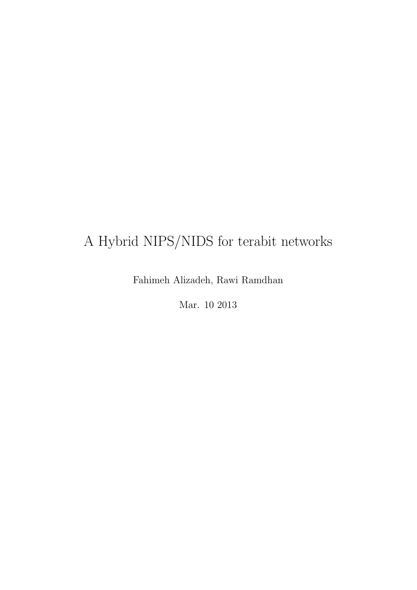# A Hybrid NIPS/NIDS for terabit networks

Fahimeh Alizadeh, Rawi Ramdhan

Mar. 10 2013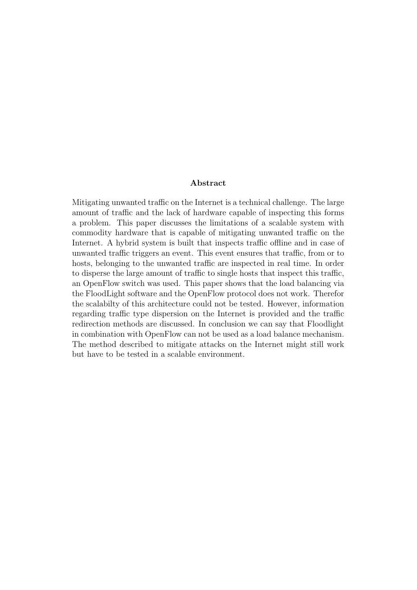#### Abstract

Mitigating unwanted traffic on the Internet is a technical challenge. The large amount of traffic and the lack of hardware capable of inspecting this forms a problem. This paper discusses the limitations of a scalable system with commodity hardware that is capable of mitigating unwanted traffic on the Internet. A hybrid system is built that inspects traffic offline and in case of unwanted traffic triggers an event. This event ensures that traffic, from or to hosts, belonging to the unwanted traffic are inspected in real time. In order to disperse the large amount of traffic to single hosts that inspect this traffic, an OpenFlow switch was used. This paper shows that the load balancing via the FloodLight software and the OpenFlow protocol does not work. Therefor the scalabilty of this architecture could not be tested. However, information regarding traffic type dispersion on the Internet is provided and the traffic redirection methods are discussed. In conclusion we can say that Floodlight in combination with OpenFlow can not be used as a load balance mechanism. The method described to mitigate attacks on the Internet might still work but have to be tested in a scalable environment.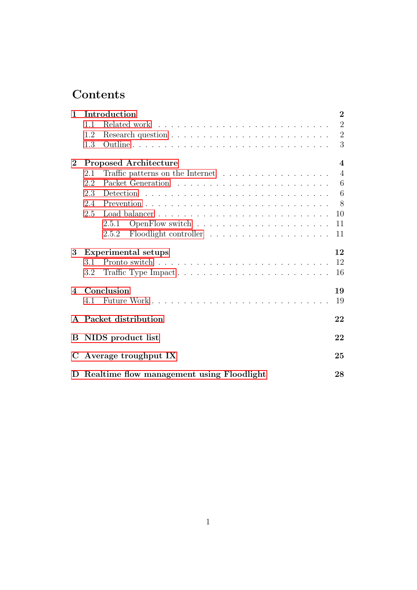## Contents

| $\mathbf{1}$   | Introduction                                |                                                                              |                |  |  |  |
|----------------|---------------------------------------------|------------------------------------------------------------------------------|----------------|--|--|--|
|                | 1.1                                         |                                                                              | $\overline{2}$ |  |  |  |
|                | 1.2                                         |                                                                              | $\overline{2}$ |  |  |  |
|                | 1.3                                         |                                                                              | 3              |  |  |  |
| $\bf{2}$       |                                             | <b>Proposed Architecture</b>                                                 | $\overline{4}$ |  |  |  |
|                | 2.1                                         | Traffic patterns on the Internet $\ldots \ldots \ldots \ldots \ldots \ldots$ | $\overline{4}$ |  |  |  |
|                | 2.2                                         |                                                                              | 6              |  |  |  |
|                | 2.3                                         |                                                                              | 6              |  |  |  |
|                | 2.4                                         |                                                                              | 8              |  |  |  |
|                | 2.5                                         |                                                                              | 10             |  |  |  |
|                |                                             | 2.5.1                                                                        | 11             |  |  |  |
|                |                                             | 2.5.2                                                                        | 11             |  |  |  |
| 3              | <b>Experimental setups</b>                  |                                                                              |                |  |  |  |
|                | 3.1                                         |                                                                              | 12             |  |  |  |
|                | 3.2                                         | Traffic Type Impact                                                          | 16             |  |  |  |
| $\overline{A}$ | Conclusion                                  |                                                                              |                |  |  |  |
|                | 4.1                                         |                                                                              | 19             |  |  |  |
|                |                                             | A Packet distribution                                                        | 22             |  |  |  |
| $\bf{B}$       | NIDS product list                           |                                                                              |                |  |  |  |
| $\mathbf C$    | Average troughput IX                        |                                                                              |                |  |  |  |
|                | D Realtime flow management using Floodlight |                                                                              |                |  |  |  |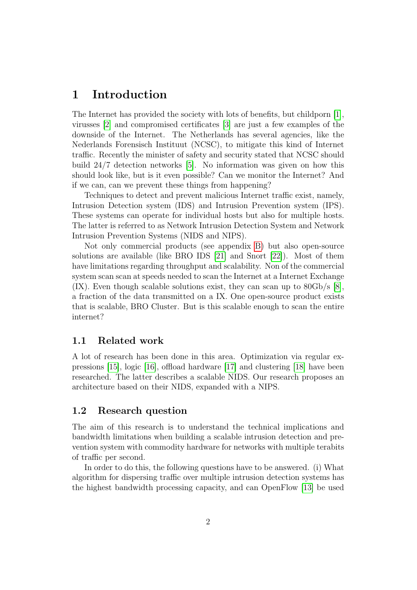## <span id="page-3-0"></span>1 Introduction

The Internet has provided the society with lots of benefits, but childporn [\[1\]](#page-21-0), virusses [\[2\]](#page-21-1) and compromised certificates [\[3\]](#page-21-2) are just a few examples of the downside of the Internet. The Netherlands has several agencies, like the Nederlands Forensisch Instituut (NCSC), to mitigate this kind of Internet traffic. Recently the minister of safety and security stated that NCSC should build 24/7 detection networks [\[5\]](#page-21-3). No information was given on how this should look like, but is it even possible? Can we monitor the Internet? And if we can, can we prevent these things from happening?

Techniques to detect and prevent malicious Internet traffic exist, namely, Intrusion Detection system (IDS) and Intrusion Prevention system (IPS). These systems can operate for individual hosts but also for multiple hosts. The latter is referred to as Network Intrusion Detection System and Network Intrusion Prevention Systems (NIDS and NIPS).

Not only commercial products (see appendix [B\)](#page-23-1) but also open-source solutions are available (like BRO IDS [\[21\]](#page-22-0) and Snort [\[22\]](#page-22-1)). Most of them have limitations regarding throughput and scalability. Non of the commercial system scan scan at speeds needed to scan the Internet at a Internet Exchange (IX). Even though scalable solutions exist, they can scan up to 80Gb/s [\[8\]](#page-21-4), a fraction of the data transmitted on a IX. One open-source product exists that is scalable, BRO Cluster. But is this scalable enough to scan the entire internet?

#### <span id="page-3-1"></span>1.1 Related work

A lot of research has been done in this area. Optimization via regular expressions [\[15\]](#page-22-2), logic [\[16\]](#page-22-3), offload hardware [\[17\]](#page-22-4) and clustering [\[18\]](#page-22-5) have been researched. The latter describes a scalable NIDS. Our research proposes an architecture based on their NIDS, expanded with a NIPS.

#### <span id="page-3-2"></span>1.2 Research question

The aim of this research is to understand the technical implications and bandwidth limitations when building a scalable intrusion detection and prevention system with commodity hardware for networks with multiple terabits of traffic per second.

In order to do this, the following questions have to be answered. (i) What algorithm for dispersing traffic over multiple intrusion detection systems has the highest bandwidth processing capacity, and can OpenFlow [\[13\]](#page-21-5) be used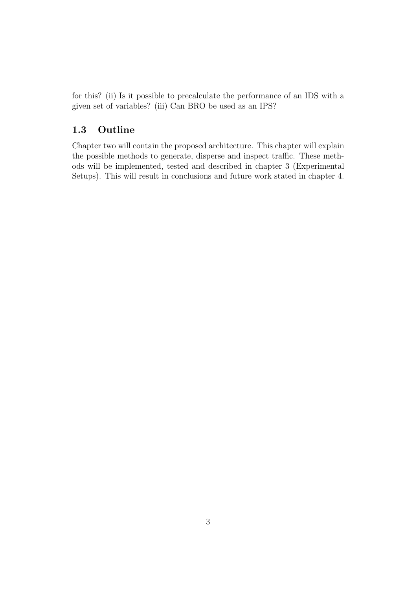for this? (ii) Is it possible to precalculate the performance of an IDS with a given set of variables? (iii) Can BRO be used as an IPS?

#### <span id="page-4-0"></span>1.3 Outline

Chapter two will contain the proposed architecture. This chapter will explain the possible methods to generate, disperse and inspect traffic. These methods will be implemented, tested and described in chapter 3 (Experimental Setups). This will result in conclusions and future work stated in chapter 4.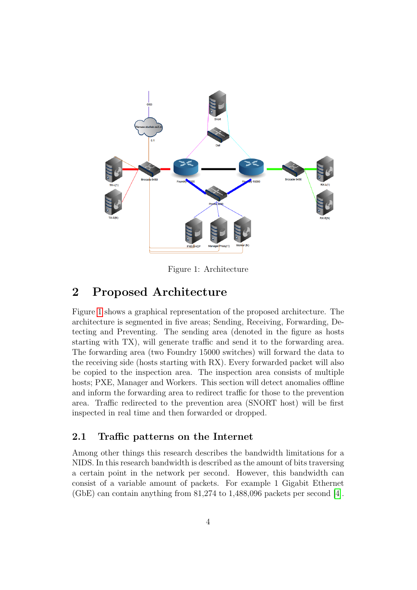

<span id="page-5-2"></span>Figure 1: Architecture

## <span id="page-5-0"></span>2 Proposed Architecture

Figure [1](#page-5-2) shows a graphical representation of the proposed architecture. The architecture is segmented in five areas; Sending, Receiving, Forwarding, Detecting and Preventing. The sending area (denoted in the figure as hosts starting with TX), will generate traffic and send it to the forwarding area. The forwarding area (two Foundry 15000 switches) will forward the data to the receiving side (hosts starting with RX). Every forwarded packet will also be copied to the inspection area. The inspection area consists of multiple hosts; PXE, Manager and Workers. This section will detect anomalies offline and inform the forwarding area to redirect traffic for those to the prevention area. Traffic redirected to the prevention area (SNORT host) will be first inspected in real time and then forwarded or dropped.

#### <span id="page-5-1"></span>2.1 Traffic patterns on the Internet

Among other things this research describes the bandwidth limitations for a NIDS. In this research bandwidth is described as the amount of bits traversing a certain point in the network per second. However, this bandwidth can consist of a variable amount of packets. For example 1 Gigabit Ethernet (GbE) can contain anything from 81,274 to 1,488,096 packets per second [\[4\]](#page-21-6).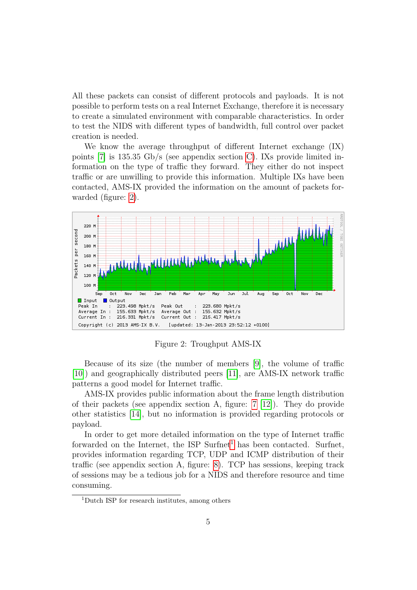All these packets can consist of different protocols and payloads. It is not possible to perform tests on a real Internet Exchange, therefore it is necessary to create a simulated environment with comparable characteristics. In order to test the NIDS with different types of bandwidth, full control over packet creation is needed.

We know the average throughput of different Internet exchange (IX) points [\[7\]](#page-21-7) is 135.35 Gb/s (see appendix section [C\)](#page-26-0). IXs provide limited information on the type of traffic they forward. They either do not inspect traffic or are unwilling to provide this information. Multiple IXs have been contacted, AMS-IX provided the information on the amount of packets forwarded (figure: [2\)](#page-6-0).



<span id="page-6-0"></span>Figure 2: Troughput AMS-IX

Because of its size (the number of members [\[9\]](#page-21-8), the volume of traffic [\[10\]](#page-21-9)) and geographically distributed peers [\[11\]](#page-21-10), are AMS-IX network traffic patterns a good model for Internet traffic.

AMS-IX provides public information about the frame length distribution of their packets (see appendix section A, figure: [7](#page-24-0) [\[12\]](#page-21-11)). They do provide other statistics [\[14\]](#page-21-12), but no information is provided regarding protocols or payload.

In order to get more detailed information on the type of Internet traffic forwarded on the Internet, the ISP Surfnet<sup>[1](#page-6-1)</sup> has been contacted. Surfnet, provides information regarding TCP, UDP and ICMP distribution of their traffic (see appendix section A, figure: [8\)](#page-24-1). TCP has sessions, keeping track of sessions may be a tedious job for a NIDS and therefore resource and time consuming.

<span id="page-6-1"></span><sup>1</sup>Dutch ISP for research institutes, among others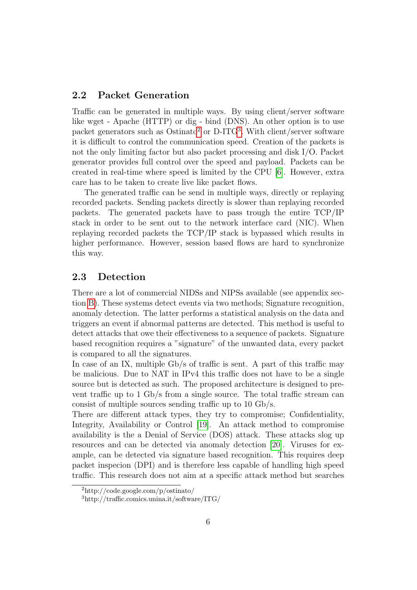#### <span id="page-7-0"></span>2.2 Packet Generation

Traffic can be generated in multiple ways. By using client/server software like wget - Apache (HTTP) or dig - bind (DNS). An other option is to use packet generators such as  $Ostinato^2$  $Ostinato^2$  or  $D-ITG^3$  $D-ITG^3$ . With client/server software it is difficult to control the communication speed. Creation of the packets is not the only limiting factor but also packet processing and disk I/O. Packet generator provides full control over the speed and payload. Packets can be created in real-time where speed is limited by the CPU [\[6\]](#page-21-13). However, extra care has to be taken to create live like packet flows.

The generated traffic can be send in multiple ways, directly or replaying recorded packets. Sending packets directly is slower than replaying recorded packets. The generated packets have to pass trough the entire TCP/IP stack in order to be sent out to the network interface card (NIC). When replaying recorded packets the TCP/IP stack is bypassed which results in higher performance. However, session based flows are hard to synchronize this way.

#### <span id="page-7-1"></span>2.3 Detection

There are a lot of commercial NIDSs and NIPSs available (see appendix section [B\)](#page-23-1). These systems detect events via two methods; Signature recognition, anomaly detection. The latter performs a statistical analysis on the data and triggers an event if abnormal patterns are detected. This method is useful to detect attacks that owe their effectiveness to a sequence of packets. Signature based recognition requires a "signature" of the unwanted data, every packet is compared to all the signatures.

In case of an IX, multiple Gb/s of traffic is sent. A part of this traffic may be malicious. Due to NAT in IPv4 this traffic does not have to be a single source but is detected as such. The proposed architecture is designed to prevent traffic up to 1 Gb/s from a single source. The total traffic stream can consist of multiple sources sending traffic up to 10 Gb/s.

There are different attack types, they try to compromise; Confidentiality, Integrity, Availability or Control [\[19\]](#page-22-6). An attack method to compromise availability is the a Denial of Service (DOS) attack. These attacks slog up resources and can be detected via anomaly detection [\[20\]](#page-22-7). Viruses for example, can be detected via signature based recognition. This requires deep packet inspecion (DPI) and is therefore less capable of handling high speed traffic. This research does not aim at a specific attack method but searches

<span id="page-7-2"></span><sup>2</sup>http://code.google.com/p/ostinato/

<span id="page-7-3"></span><sup>3</sup>http://traffic.comics.unina.it/software/ITG/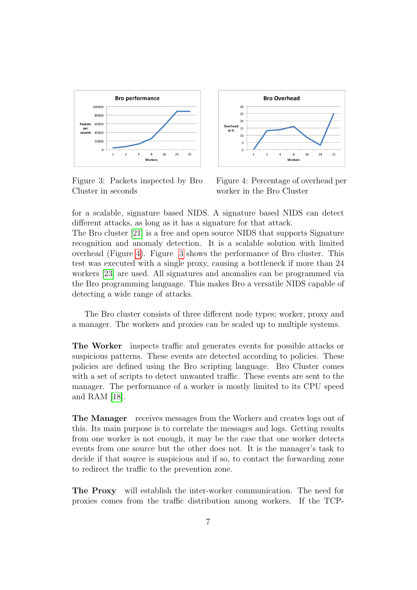

<span id="page-8-1"></span>Figure 3: Packets inspected by Bro Cluster in seconds



<span id="page-8-0"></span>Figure 4: Percentage of overhead per worker in the Bro Cluster

for a scalable, signature based NIDS. A signature based NIDS can detect different attacks, as long as it has a signature for that attack.

The Bro cluster [\[21\]](#page-22-0) is a free and open source NIDS that supports Signature recognition and anomaly detection. It is a scalable solution with limited overhead (Figure [4\)](#page-8-0). Figure [3](#page-8-1) shows the performance of Bro cluster. This test was executed with a single proxy, causing a bottleneck if more than 24 workers [\[23\]](#page-22-8) are used. All signatures and anomalies can be programmed via the Bro programming language. This makes Bro a versatile NIDS capable of detecting a wide range of attacks.

The Bro cluster consists of three different node types; worker, proxy and a manager. The workers and proxies can be scaled up to multiple systems.

The Worker inspects traffic and generates events for possible attacks or suspicious patterns. These events are detected according to policies. These policies are defined using the Bro scripting language. Bro Cluster comes with a set of scripts to detect unwanted traffic. These events are sent to the manager. The performance of a worker is mostly limited to its CPU speed and RAM [\[18\]](#page-22-5).

The Manager receives messages from the Workers and creates logs out of this. Its main purpose is to correlate the messages and logs. Getting results from one worker is not enough, it may be the case that one worker detects events from one source but the other does not. It is the manager's task to decide if that source is suspicious and if so, to contact the forwarding zone to redirect the traffic to the prevention zone.

The Proxy will establish the inter-worker communication. The need for proxies comes from the traffic distribution among workers. If the TCP-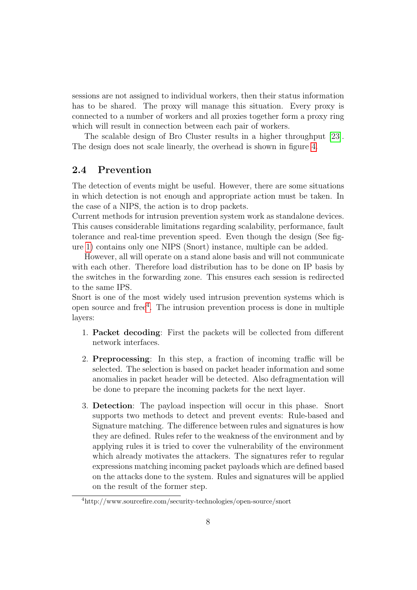sessions are not assigned to individual workers, then their status information has to be shared. The proxy will manage this situation. Every proxy is connected to a number of workers and all proxies together form a proxy ring which will result in connection between each pair of workers.

The scalable design of Bro Cluster results in a higher throughput [\[23\]](#page-22-8). The design does not scale linearly, the overhead is shown in figure [4.](#page-8-0)

#### <span id="page-9-0"></span>2.4 Prevention

The detection of events might be useful. However, there are some situations in which detection is not enough and appropriate action must be taken. In the case of a NIPS, the action is to drop packets.

Current methods for intrusion prevention system work as standalone devices. This causes considerable limitations regarding scalability, performance, fault tolerance and real-time prevention speed. Even though the design (See figure [1\)](#page-5-2) contains only one NIPS (Snort) instance, multiple can be added.

However, all will operate on a stand alone basis and will not communicate with each other. Therefore load distribution has to be done on IP basis by the switches in the forwarding zone. This ensures each session is redirected to the same IPS.

Snort is one of the most widely used intrusion prevention systems which is open source and free[4](#page-9-1) . The intrusion prevention process is done in multiple layers:

- 1. Packet decoding: First the packets will be collected from different network interfaces.
- 2. Preprocessing: In this step, a fraction of incoming traffic will be selected. The selection is based on packet header information and some anomalies in packet header will be detected. Also defragmentation will be done to prepare the incoming packets for the next layer.
- 3. Detection: The payload inspection will occur in this phase. Snort supports two methods to detect and prevent events: Rule-based and Signature matching. The difference between rules and signatures is how they are defined. Rules refer to the weakness of the environment and by applying rules it is tried to cover the vulnerability of the environment which already motivates the attackers. The signatures refer to regular expressions matching incoming packet payloads which are defined based on the attacks done to the system. Rules and signatures will be applied on the result of the former step.

<span id="page-9-1"></span><sup>4</sup>http://www.sourcefire.com/security-technologies/open-source/snort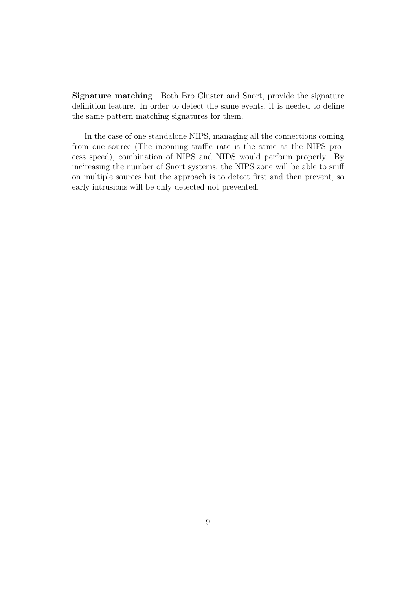Signature matching Both Bro Cluster and Snort, provide the signature definition feature. In order to detect the same events, it is needed to define the same pattern matching signatures for them.

In the case of one standalone NIPS, managing all the connections coming from one source (The incoming traffic rate is the same as the NIPS process speed), combination of NIPS and NIDS would perform properly. By inc'reasing the number of Snort systems, the NIPS zone will be able to sniff on multiple sources but the approach is to detect first and then prevent, so early intrusions will be only detected not prevented.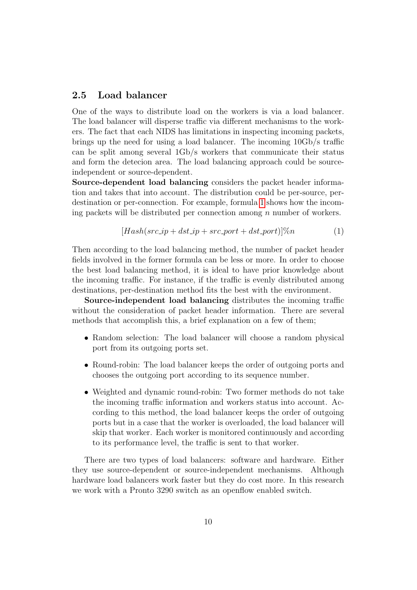#### <span id="page-11-0"></span>2.5 Load balancer

One of the ways to distribute load on the workers is via a load balancer. The load balancer will disperse traffic via different mechanisms to the workers. The fact that each NIDS has limitations in inspecting incoming packets, brings up the need for using a load balancer. The incoming 10Gb/s traffic can be split among several 1Gb/s workers that communicate their status and form the detecion area. The load balancing approach could be sourceindependent or source-dependent.

Source-dependent load balancing considers the packet header information and takes that into account. The distribution could be per-source, perdestination or per-connection. For example, formula [1](#page-11-1) shows how the incoming packets will be distributed per connection among  $n$  number of workers.

<span id="page-11-1"></span>
$$
[Hash(src\_ip + dst\_ip + src\_port + dst\_port)]\%n \tag{1}
$$

Then according to the load balancing method, the number of packet header fields involved in the former formula can be less or more. In order to choose the best load balancing method, it is ideal to have prior knowledge about the incoming traffic. For instance, if the traffic is evenly distributed among destinations, per-destination method fits the best with the environment.

Source-independent load balancing distributes the incoming traffic without the consideration of packet header information. There are several methods that accomplish this, a brief explanation on a few of them;

- Random selection: The load balancer will choose a random physical port from its outgoing ports set.
- Round-robin: The load balancer keeps the order of outgoing ports and chooses the outgoing port according to its sequence number.
- Weighted and dynamic round-robin: Two former methods do not take the incoming traffic information and workers status into account. According to this method, the load balancer keeps the order of outgoing ports but in a case that the worker is overloaded, the load balancer will skip that worker. Each worker is monitored continuously and according to its performance level, the traffic is sent to that worker.

There are two types of load balancers: software and hardware. Either they use source-dependent or source-independent mechanisms. Although hardware load balancers work faster but they do cost more. In this research we work with a Pronto 3290 switch as an openflow enabled switch.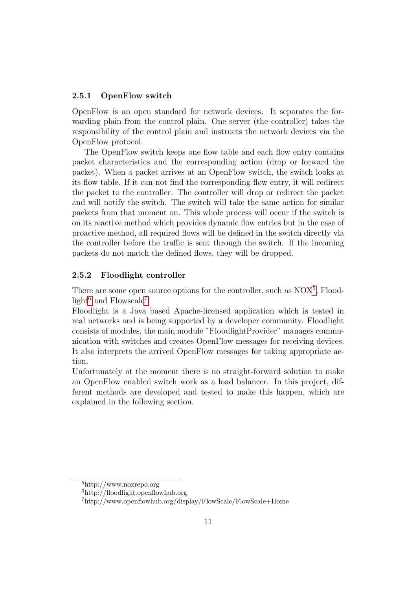#### <span id="page-12-0"></span>2.5.1 OpenFlow switch

OpenFlow is an open standard for network devices. It separates the forwarding plain from the control plain. One server (the controller) takes the responsibility of the control plain and instructs the network devices via the OpenFlow protocol.

The OpenFlow switch keeps one flow table and each flow entry contains packet characteristics and the corresponding action (drop or forward the packet). When a packet arrives at an OpenFlow switch, the switch looks at its flow table. If it can not find the corresponding flow entry, it will redirect the packet to the controller. The controller will drop or redirect the packet and will notify the switch. The switch will take the same action for similar packets from that moment on. This whole process will occur if the switch is on its reactive method which provides dynamic flow entries but in the case of proactive method, all required flows will be defined in the switch directly via the controller before the traffic is sent through the switch. If the incoming packets do not match the defined flows, they will be dropped.

#### <span id="page-12-1"></span>2.5.2 Floodlight controller

There are some open source options for the controller, such as  $NOX^5$  $NOX^5$ , Flood- $light<sup>6</sup>$  $light<sup>6</sup>$  $light<sup>6</sup>$  and Flowscale<sup>[7](#page-12-4)</sup>.

Floodlight is a Java based Apache-licensed application which is tested in real networks and is being supported by a developer community. Floodlight consists of modules, the main module "FloodlightProvider" manages communication with switches and creates OpenFlow messages for receiving devices. It also interprets the arrived OpenFlow messages for taking appropriate action.

Unfortunately at the moment there is no straight-forward solution to make an OpenFlow enabled switch work as a load balancer. In this project, different methods are developed and tested to make this happen, which are explained in the following section.

<span id="page-12-2"></span><sup>5</sup>http://www.noxrepo.org

<span id="page-12-3"></span><sup>6</sup>http://floodlight.openflowhub.org

<span id="page-12-4"></span><sup>7</sup>http://www.openflowhub.org/display/FlowScale/FlowScale+Home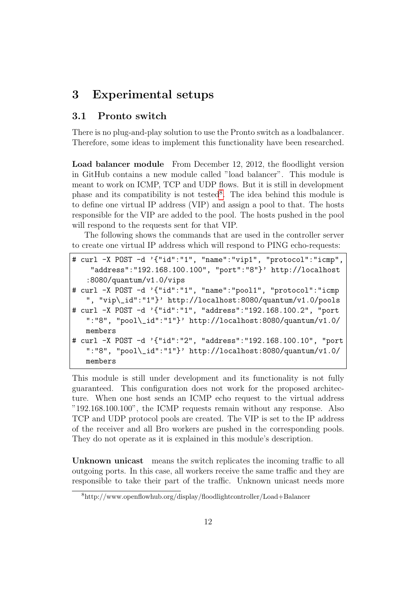## <span id="page-13-0"></span>3 Experimental setups

#### <span id="page-13-1"></span>3.1 Pronto switch

There is no plug-and-play solution to use the Pronto switch as a loadbalancer. Therefore, some ideas to implement this functionality have been researched.

Load balancer module From December 12, 2012, the floodlight version in GitHub contains a new module called "load balancer". This module is meant to work on ICMP, TCP and UDP flows. But it is still in development phase and its compatibility is not tested<sup>[8](#page-13-2)</sup>. The idea behind this module is to define one virtual IP address (VIP) and assign a pool to that. The hosts responsible for the VIP are added to the pool. The hosts pushed in the pool will respond to the requests sent for that VIP.

The following shows the commands that are used in the controller server to create one virtual IP address which will respond to PING echo-requests:

```
# curl -X POST -d '{"id":"1", "name":"vip1", "protocol":"icmp",
    "address":"192.168.100.100", "port":"8"}' http://localhost
   :8080/quantum/v1.0/vips
# curl -X POST -d '{"id":"1", "name":"pool1", "protocol":"icmp
   ", "vip\_id":"1"}' http://localhost:8080/quantum/v1.0/pools
# curl -X POST -d '{"id":"1", "address":"192.168.100.2", "port
   ":"8", "pool\langle_id":"1"}' http://localhost:8080/quantum/v1.0/
   members
# curl -X POST -d '{"id":"2", "address":"192.168.100.10", "port
   ":"8", "pool\_id":"1"}' http://localhost:8080/quantum/v1.0/
   members
```
This module is still under development and its functionality is not fully guaranteed. This configuration does not work for the proposed architecture. When one host sends an ICMP echo request to the virtual address "192.168.100.100", the ICMP requests remain without any response. Also TCP and UDP protocol pools are created. The VIP is set to the IP address of the receiver and all Bro workers are pushed in the corresponding pools. They do not operate as it is explained in this module's description.

Unknown unicast means the switch replicates the incoming traffic to all outgoing ports. In this case, all workers receive the same traffic and they are responsible to take their part of the traffic. Unknown unicast needs more

<span id="page-13-2"></span><sup>8</sup>http://www.openflowhub.org/display/floodlightcontroller/Load+Balancer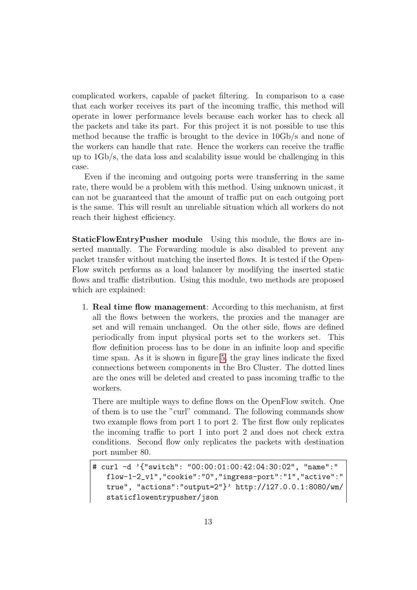complicated workers, capable of packet filtering. In comparison to a case that each worker receives its part of the incoming traffic, this method will operate in lower performance levels because each worker has to check all the packets and take its part. For this project it is not possible to use this method because the traffic is brought to the device in 10Gb/s and none of the workers can handle that rate. Hence the workers can receive the traffic up to 1Gb/s, the data loss and scalability issue would be challenging in this case.

Even if the incoming and outgoing ports were transferring in the same rate, there would be a problem with this method. Using unknown unicast, it can not be guaranteed that the amount of traffic put on each outgoing port is the same. This will result an unreliable situation which all workers do not reach their highest efficiency.

StaticFlowEntryPusher module Using this module, the flows are inserted manually. The Forwarding module is also disabled to prevent any packet transfer without matching the inserted flows. It is tested if the Open-Flow switch performs as a load balancer by modifying the inserted static flows and traffic distribution. Using this module, two methods are proposed which are explained:

1. Real time flow management: According to this mechanism, at first all the flows between the workers, the proxies and the manager are set and will remain unchanged. On the other side, flows are defined periodically from input physical ports set to the workers set. This flow definition process has to be done in an infinite loop and specific time span. As it is shown in figure [5,](#page-15-0) the gray lines indicate the fixed connections between components in the Bro Cluster. The dotted lines are the ones will be deleted and created to pass incoming traffic to the workers.

There are multiple ways to define flows on the OpenFlow switch. One of them is to use the "curl" command. The following commands show two example flows from port 1 to port 2. The first flow only replicates the incoming traffic to port 1 into port 2 and does not check extra conditions. Second flow only replicates the packets with destination port number 80.

<sup>#</sup> curl -d '{"switch": "00:00:01:00:42:04:30:02", "name":" flow-1-2\_v1","cookie":"0","ingress-port":"1","active":" true", "actions":"output=2"}' http://127.0.0.1:8080/wm/ staticflowentrypusher/json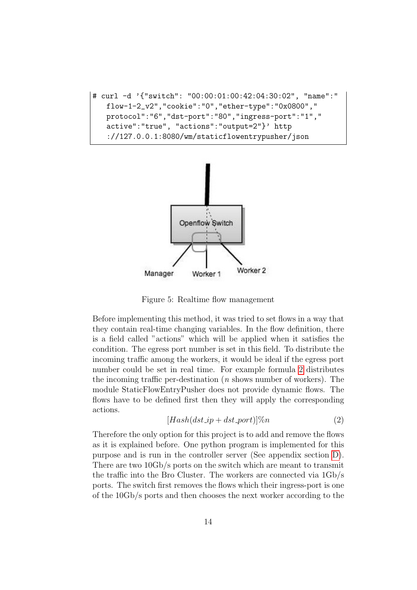```
# curl -d '{"switch": "00:00:01:00:42:04:30:02", "name":"
   flow-1-2_v2","cookie":"0","ether-type":"0x0800","
   protocol":"6","dst-port":"80","ingress-port":"1","
   active":"true", "actions":"output=2"}' http
   ://127.0.0.1:8080/wm/staticflowentrypusher/json
```


<span id="page-15-0"></span>Figure 5: Realtime flow management

Before implementing this method, it was tried to set flows in a way that they contain real-time changing variables. In the flow definition, there is a field called "actions" which will be applied when it satisfies the condition. The egress port number is set in this field. To distribute the incoming traffic among the workers, it would be ideal if the egress port number could be set in real time. For example formula [2](#page-15-1) distributes the incoming traffic per-destination  $(n \text{ shows number of workers})$ . The module StaticFlowEntryPusher does not provide dynamic flows. The flows have to be defined first then they will apply the corresponding actions.

<span id="page-15-1"></span>
$$
[Hash(dst\_ip + dst\_port)]\%n \tag{2}
$$

Therefore the only option for this project is to add and remove the flows as it is explained before. One python program is implemented for this purpose and is run in the controller server (See appendix section [D\)](#page-29-0). There are two 10Gb/s ports on the switch which are meant to transmit the traffic into the Bro Cluster. The workers are connected via 1Gb/s ports. The switch first removes the flows which their ingress-port is one of the 10Gb/s ports and then chooses the next worker according to the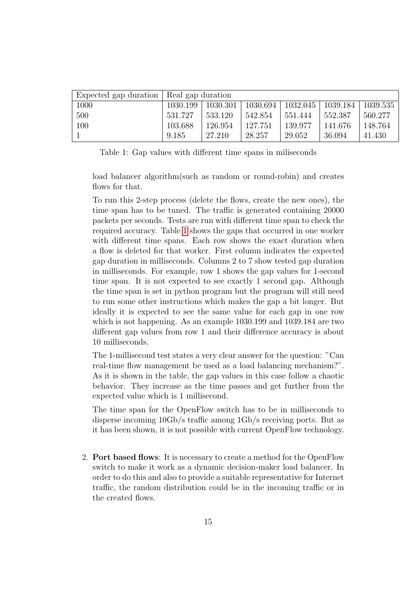| Expected gap duration | Real gap duration |          |          |          |          |          |
|-----------------------|-------------------|----------|----------|----------|----------|----------|
| 1000                  | 1030.199          | 1030.301 | 1030.694 | 1032.045 | 1039.184 | 1039.535 |
| 500                   | 531.727           | 533.120  | 542.854  | 551.444  | 552.387  | 560.277  |
| 100                   | 103.688           | 126.954  | 127.751  | 139.977  | 141.676  | 148.764  |
|                       | 9.185             | 27.210   | 28.257   | 29.052   | 36.094   | 41.430   |

<span id="page-16-0"></span>Table 1: Gap values with different time spans in miliseconds

load balancer algorithm(such as random or round-robin) and creates flows for that.

To run this 2-step process (delete the flows, create the new ones), the time span has to be tuned. The traffic is generated containing 20000 packets per seconds. Tests are run with different time span to check the required accuracy. Table [1](#page-16-0) shows the gaps that occurred in one worker with different time spans. Each row shows the exact duration when a flow is deleted for that worker. First column indicates the expected gap duration in milliseconds. Columns 2 to 7 show tested gap duration in milliseconds. For example, row 1 shows the gap values for 1-second time span. It is not expected to see exactly 1 second gap. Although the time span is set in python program but the program will still need to run some other instructions which makes the gap a bit longer. But ideally it is expected to see the same value for each gap in one row which is not happening. As an example 1030.199 and 1039.184 are two different gap values from row 1 and their difference accuracy is about 10 milliseconds.

The 1-millisecond test states a very clear answer for the question: "Can real-time flow management be used as a load balancing mechanism?". As it is shown in the table, the gap values in this case follow a chaotic behavior. They increase as the time passes and get further from the expected value which is 1 millisecond.

The time span for the OpenFlow switch has to be in milliseconds to disperse incoming 10Gb/s traffic among 1Gb/s receiving ports. But as it has been shown, it is not possible with current OpenFlow technology.

2. Port based flows: It is necessary to create a method for the OpenFlow switch to make it work as a dynamic decision-maker load balancer. In order to do this and also to provide a suitable representative for Internet traffic, the random distribution could be in the incoming traffic or in the created flows.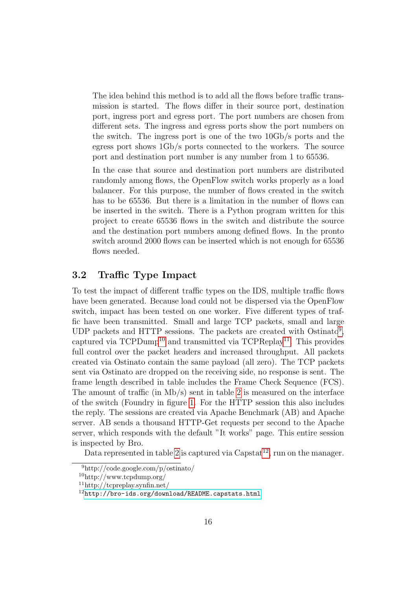The idea behind this method is to add all the flows before traffic transmission is started. The flows differ in their source port, destination port, ingress port and egress port. The port numbers are chosen from different sets. The ingress and egress ports show the port numbers on the switch. The ingress port is one of the two 10Gb/s ports and the egress port shows 1Gb/s ports connected to the workers. The source port and destination port number is any number from 1 to 65536.

In the case that source and destination port numbers are distributed randomly among flows, the OpenFlow switch works properly as a load balancer. For this purpose, the number of flows created in the switch has to be 65536. But there is a limitation in the number of flows can be inserted in the switch. There is a Python program written for this project to create 65536 flows in the switch and distribute the source and the destination port numbers among defined flows. In the pronto switch around 2000 flows can be inserted which is not enough for 65536 flows needed.

#### <span id="page-17-0"></span>3.2 Traffic Type Impact

To test the impact of different traffic types on the IDS, multiple traffic flows have been generated. Because load could not be dispersed via the OpenFlow switch, impact has been tested on one worker. Five different types of traffic have been transmitted. Small and large TCP packets, small and large UDP packets and HTTP sessions. The packets are created with  $Ostinato<sup>9</sup>$  $Ostinato<sup>9</sup>$  $Ostinato<sup>9</sup>$ , captured via  $TCPDump^{10}$  $TCPDump^{10}$  $TCPDump^{10}$  and transmitted via  $TCPReplay^{11}$  $TCPReplay^{11}$  $TCPReplay^{11}$ . This provides full control over the packet headers and increased throughput. All packets created via Ostinato contain the same payload (all zero). The TCP packets sent via Ostinato are dropped on the receiving side, no response is sent. The frame length described in table includes the Frame Check Sequence (FCS). The amount of traffic (in  $Mb/s)$  sent in table [2](#page-18-0) is measured on the interface of the switch (Foundry in figure [1.](#page-5-2) For the HTTP session this also includes the reply. The sessions are created via Apache Benchmark (AB) and Apache server. AB sends a thousand HTTP-Get requests per second to the Apache server, which responds with the default "It works" page. This entire session is inspected by Bro.

Data represented in table [2](#page-18-0) is captured via  $\text{Capstat}^{12}$  $\text{Capstat}^{12}$  $\text{Capstat}^{12}$ , run on the manager.

<span id="page-17-1"></span><sup>9</sup>http://code.google.com/p/ostinato/

<span id="page-17-3"></span><span id="page-17-2"></span><sup>10</sup>http://www.tcpdump.org/

<sup>11</sup>http://tcpreplay.synfin.net/

<span id="page-17-4"></span> $12$ <http://bro-ids.org/download/README.capstats.html>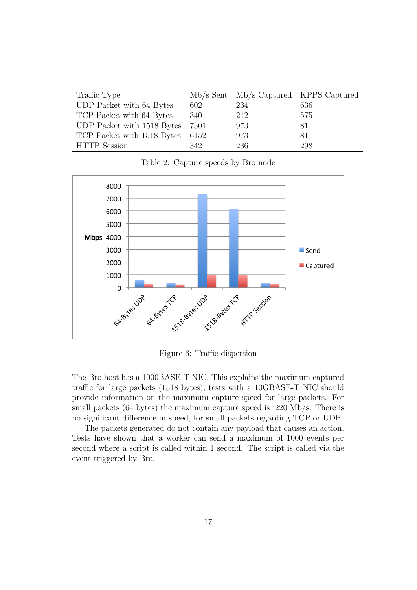| Traffic Type               |      |     | $Mb/s$ Sent   $Mb/s$ Captured   KPPS Captured |
|----------------------------|------|-----|-----------------------------------------------|
| UDP Packet with 64 Bytes   | 602  | 234 | 636                                           |
| TCP Packet with 64 Bytes   | 340  | 212 | 575                                           |
| UDP Packet with 1518 Bytes | 7301 | 973 | 81                                            |
| TCP Packet with 1518 Bytes | 6152 | 973 | 81                                            |
| <b>HTTP</b> Session        | 342  | 236 | 298                                           |

<span id="page-18-0"></span>Table 2: Capture speeds by Bro node



Figure 6: Traffic dispersion

The Bro host has a 1000BASE-T NIC. This explains the maximum captured traffic for large packets (1518 bytes), tests with a 10GBASE-T NIC should provide information on the maximum capture speed for large packets. For small packets (64 bytes) the maximum capture speed is 220 Mb/s. There is no significant difference in speed, for small packets regarding TCP or UDP.

The packets generated do not contain any payload that causes an action. Tests have shown that a worker can send a maximum of 1000 events per second where a script is called within 1 second. The script is called via the event triggered by Bro.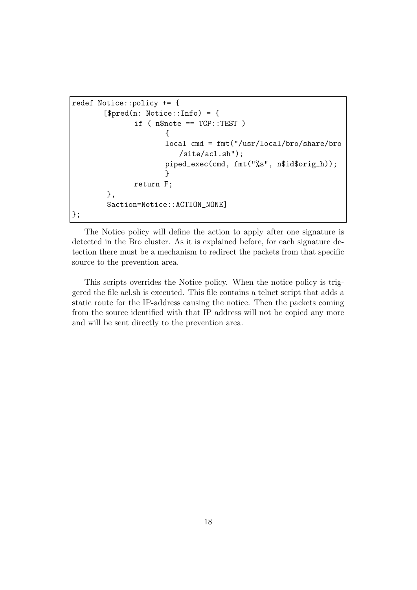```
redef Notice::policy += {
       [$pred(n: Notice::Info) = {if (n$note == TCP::TEST)
                      {
                      local cmd = fmt("/usr/local/bro/share/bro
                         /site/acl.sh");
                      piped_exec(cmd, fmt("%s", n$id$orig_h));
                      }
              return F;
        },
        $action=Notice::ACTION_NONE]
};
```
The Notice policy will define the action to apply after one signature is detected in the Bro cluster. As it is explained before, for each signature detection there must be a mechanism to redirect the packets from that specific source to the prevention area.

This scripts overrides the Notice policy. When the notice policy is triggered the file acl.sh is executed. This file contains a telnet script that adds a static route for the IP-address causing the notice. Then the packets coming from the source identified with that IP address will not be copied any more and will be sent directly to the prevention area.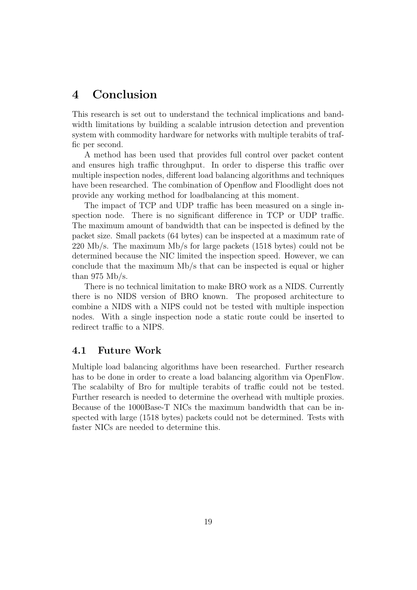### <span id="page-20-0"></span>4 Conclusion

This research is set out to understand the technical implications and bandwidth limitations by building a scalable intrusion detection and prevention system with commodity hardware for networks with multiple terabits of traffic per second.

A method has been used that provides full control over packet content and ensures high traffic throughput. In order to disperse this traffic over multiple inspection nodes, different load balancing algorithms and techniques have been researched. The combination of Openflow and Floodlight does not provide any working method for loadbalancing at this moment.

The impact of TCP and UDP traffic has been measured on a single inspection node. There is no significant difference in TCP or UDP traffic. The maximum amount of bandwidth that can be inspected is defined by the packet size. Small packets (64 bytes) can be inspected at a maximum rate of 220 Mb/s. The maximum Mb/s for large packets (1518 bytes) could not be determined because the NIC limited the inspection speed. However, we can conclude that the maximum Mb/s that can be inspected is equal or higher than 975  $Mb/s$ .

There is no technical limitation to make BRO work as a NIDS. Currently there is no NIDS version of BRO known. The proposed architecture to combine a NIDS with a NIPS could not be tested with multiple inspection nodes. With a single inspection node a static route could be inserted to redirect traffic to a NIPS.

#### <span id="page-20-1"></span>4.1 Future Work

Multiple load balancing algorithms have been researched. Further research has to be done in order to create a load balancing algorithm via OpenFlow. The scalabilty of Bro for multiple terabits of traffic could not be tested. Further research is needed to determine the overhead with multiple proxies. Because of the 1000Base-T NICs the maximum bandwidth that can be inspected with large (1518 bytes) packets could not be determined. Tests with faster NICs are needed to determine this.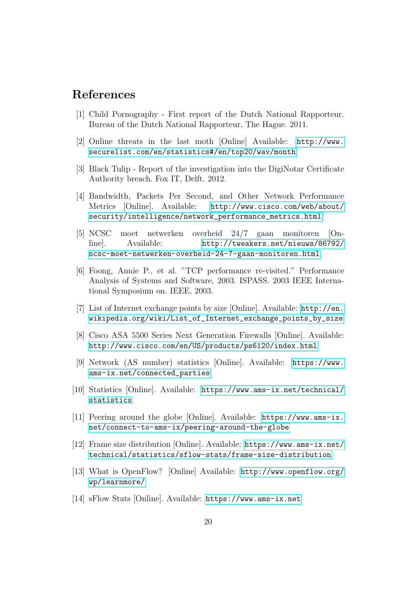## References

- <span id="page-21-0"></span>[1] Child Pornography - First report of the Dutch National Rapporteur. Bureau of the Dutch National Rapporteur, The Hague. 2011.
- <span id="page-21-1"></span>[2] Online threats in the last moth [Online] Available: [http://www.](http://www.securelist.com/en/statistics#/en/top20/wav/month) [securelist.com/en/statistics#/en/top20/wav/month](http://www.securelist.com/en/statistics#/en/top20/wav/month)
- <span id="page-21-2"></span>[3] Black Tulip - Report of the investigation into the DigiNotar Certificate Authority breach. Fox IT, Delft. 2012.
- <span id="page-21-6"></span>[4] Bandwidth, Packets Per Second, and Other Network Performance Metrics [Online]. Available: [http://www.cisco.com/web/about/](http://www.cisco.com/web/about/security/intelligence/network_performance_metrics.html) [security/intelligence/network\\_performance\\_metrics.html](http://www.cisco.com/web/about/security/intelligence/network_performance_metrics.html)
- <span id="page-21-3"></span>[5] NCSC moet netwerken overheid 24/7 gaan monitoren [Online]. Available: [http://tweakers.net/nieuws/86792/](http://tweakers.net/nieuws/86792/ncsc-moet-netwerken-overheid-24-7-gaan-monitoren.html) [ncsc-moet-netwerken-overheid-24-7-gaan-monitoren.html](http://tweakers.net/nieuws/86792/ncsc-moet-netwerken-overheid-24-7-gaan-monitoren.html)
- <span id="page-21-13"></span>[6] Foong, Annie P., et al. "TCP performance re-visited." Performance Analysis of Systems and Software, 2003. ISPASS. 2003 IEEE International Symposium on. IEEE, 2003.
- <span id="page-21-7"></span>[7] List of Internet exchange points by size [Online]. Available: [http://en.](http://en.wikipedia.org/wiki/List_of_Internet_exchange_points_by_size) [wikipedia.org/wiki/List\\_of\\_Internet\\_exchange\\_points\\_by\\_size](http://en.wikipedia.org/wiki/List_of_Internet_exchange_points_by_size)
- <span id="page-21-4"></span>[8] Cisco ASA 5500 Series Next Generation Firewalls [Online]. Available: <http://www.cisco.com/en/US/products/ps6120/index.html>
- <span id="page-21-8"></span>[9] Network (AS number) statistics [Online]. Available: [https://www.](https://www.ams-ix.net/connected_parties) [ams-ix.net/connected\\_parties](https://www.ams-ix.net/connected_parties)
- <span id="page-21-9"></span>[10] Statistics [Online]. Available: [https://www.ams-ix.net/technical/](https://www.ams-ix.net/technical/statistics) [statistics](https://www.ams-ix.net/technical/statistics)
- <span id="page-21-10"></span>[11] Peering around the globe [Online]. Available: [https://www.ams-ix.](https://www.ams-ix.net/connect-to-ams-ix/peering-around-the-globe) [net/connect-to-ams-ix/peering-around-the-globe](https://www.ams-ix.net/connect-to-ams-ix/peering-around-the-globe)
- <span id="page-21-11"></span>[12] Frame size distribution [Online]. Available: [https://www.ams-ix.net/](https://www.ams-ix.net/technical/statistics/sflow-stats/frame-size-distribution) [technical/statistics/sflow-stats/frame-size-distribution](https://www.ams-ix.net/technical/statistics/sflow-stats/frame-size-distribution)
- <span id="page-21-5"></span>[13] What is OpenFlow? [Online] Available: [http://www.openflow.org/](http://www.openflow.org/wp/learnmore/) [wp/learnmore/](http://www.openflow.org/wp/learnmore/)
- <span id="page-21-12"></span>[14] sFlow Stats [Online]. Available: <https://www.ams-ix.net>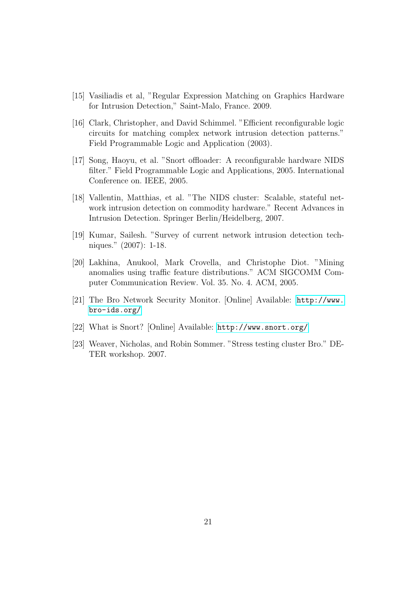- <span id="page-22-2"></span>[15] Vasiliadis et al, "Regular Expression Matching on Graphics Hardware for Intrusion Detection," Saint-Malo, France. 2009.
- <span id="page-22-3"></span>[16] Clark, Christopher, and David Schimmel. "Efficient reconfigurable logic circuits for matching complex network intrusion detection patterns." Field Programmable Logic and Application (2003).
- <span id="page-22-4"></span>[17] Song, Haoyu, et al. "Snort offloader: A reconfigurable hardware NIDS filter." Field Programmable Logic and Applications, 2005. International Conference on. IEEE, 2005.
- <span id="page-22-5"></span>[18] Vallentin, Matthias, et al. "The NIDS cluster: Scalable, stateful network intrusion detection on commodity hardware." Recent Advances in Intrusion Detection. Springer Berlin/Heidelberg, 2007.
- <span id="page-22-6"></span>[19] Kumar, Sailesh. "Survey of current network intrusion detection techniques." (2007): 1-18.
- <span id="page-22-7"></span>[20] Lakhina, Anukool, Mark Crovella, and Christophe Diot. "Mining anomalies using traffic feature distributions." ACM SIGCOMM Computer Communication Review. Vol. 35. No. 4. ACM, 2005.
- <span id="page-22-0"></span>[21] The Bro Network Security Monitor. [Online] Available: [http://www.](http://www.bro-ids.org/) [bro-ids.org/](http://www.bro-ids.org/)
- <span id="page-22-1"></span>[22] What is Snort? [Online] Available: <http://www.snort.org/>
- <span id="page-22-8"></span>[23] Weaver, Nicholas, and Robin Sommer. "Stress testing cluster Bro." DE-TER workshop. 2007.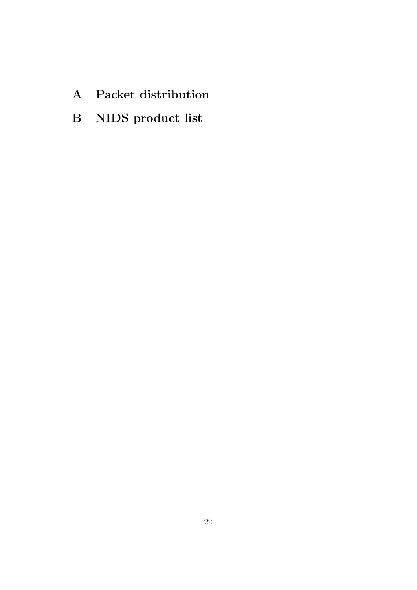- <span id="page-23-0"></span>A Packet distribution
- <span id="page-23-1"></span>B NIDS product list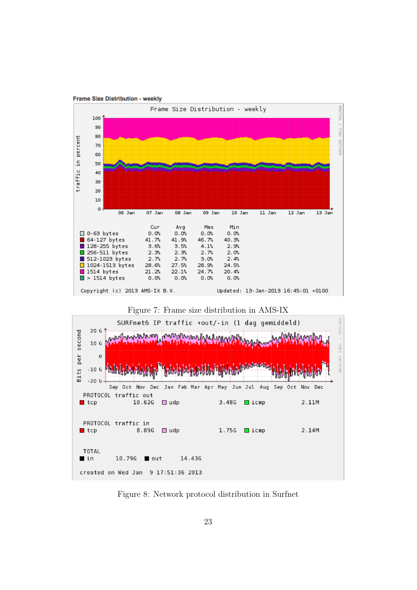

**Frame Size Distribution - weekly** 

 $\blacksquare$  tcp

TOTAL

 $\blacksquare$  in

<span id="page-24-1"></span>Figure 8: Network protocol distribution in Surfnet

14.436

<span id="page-24-0"></span>8.89G □ udp

10.79G out

created on Wed Jan 9 17:51:36 2013

 $1.75G$  lcmp

2.14M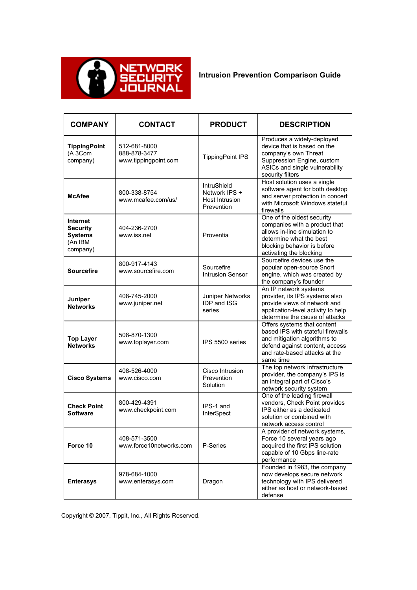

**Intrusion Prevention Comparison Guide**

| <b>COMPANY</b>                                                              | <b>CONTACT</b>                                       | <b>PRODUCT</b>                                               | <b>DESCRIPTION</b>                                                                                                                                                               |
|-----------------------------------------------------------------------------|------------------------------------------------------|--------------------------------------------------------------|----------------------------------------------------------------------------------------------------------------------------------------------------------------------------------|
| <b>TippingPoint</b><br>(A 3Com<br>company)                                  | 512-681-8000<br>888-878-3477<br>www.tippingpoint.com | <b>TippingPoint IPS</b>                                      | Produces a widely-deployed<br>device that is based on the<br>company's own Threat<br>Suppression Engine, custom<br>ASICs and single vulnerability<br>security filters            |
| <b>McAfee</b>                                                               | 800-338-8754<br>www.mcafee.com/us/                   | IntruShield<br>Network IPS +<br>Host Intrusion<br>Prevention | Host solution uses a single<br>software agent for both desktop<br>and server protection in concert<br>with Microsoft Windows stateful<br>firewalls                               |
| <b>Internet</b><br><b>Security</b><br><b>Systems</b><br>(An IBM<br>company) | 404-236-2700<br>www.iss.net                          | Proventia                                                    | One of the oldest security<br>companies with a product that<br>allows in-line simulation to<br>determine what the best<br>blocking behavior is before<br>activating the blocking |
| <b>Sourcefire</b>                                                           | 800-917-4143<br>www.sourcefire.com                   | Sourcefire<br><b>Intrusion Sensor</b>                        | Sourcefire devices use the<br>popular open-source Snort<br>engine, which was created by<br>the company's founder                                                                 |
| Juniper<br><b>Networks</b>                                                  | 408-745-2000<br>www.juniper.net                      | Juniper Networks<br><b>IDP and ISG</b><br>series             | An IP network systems<br>provider, its IPS systems also<br>provide views of network and<br>application-level activity to help<br>determine the cause of attacks                  |
| <b>Top Layer</b><br><b>Networks</b>                                         | 508-870-1300<br>www.toplayer.com                     | IPS 5500 series                                              | Offers systems that content<br>based IPS with stateful firewalls<br>and mitigation algorithms to<br>defend against content, access<br>and rate-based attacks at the<br>same time |
| <b>Cisco Systems</b>                                                        | 408-526-4000<br>www.cisco.com                        | Cisco Intrusion<br>Prevention<br>Solution                    | The top network infrastructure<br>provider, the company's IPS is<br>an integral part of Cisco's<br>network security system                                                       |
| <b>Check Point</b><br><b>Software</b>                                       | 800-429-4391<br>www.checkpoint.com                   | IPS-1 and<br>InterSpect                                      | One of the leading firewall<br>vendors, Check Point provides<br>IPS either as a dedicated<br>solution or combined with<br>network access control                                 |
| Force 10                                                                    | 408-571-3500<br>www.force10networks.com              | P-Series                                                     | A provider of network systems,<br>Force 10 several years ago<br>acquired the first IPS solution<br>capable of 10 Gbps line-rate<br>performance                                   |
| <b>Enterasys</b>                                                            | 978-684-1000<br>www.enterasys.com                    | Dragon                                                       | Founded in 1983, the company<br>now develops secure network<br>technology with IPS delivered<br>either as host or network-based<br>defense                                       |

Copyright © 2007, Tippit, Inc., All Rights Reserved.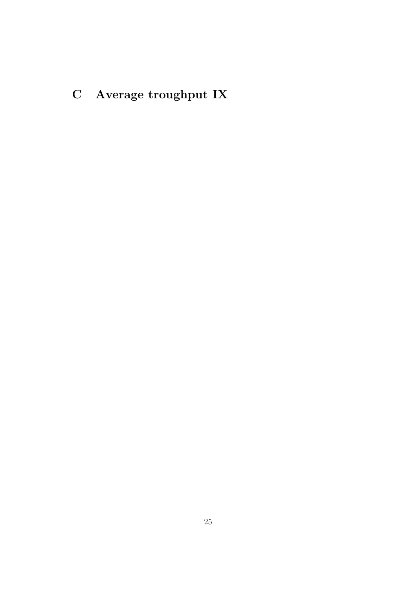<span id="page-26-0"></span>C Average troughput IX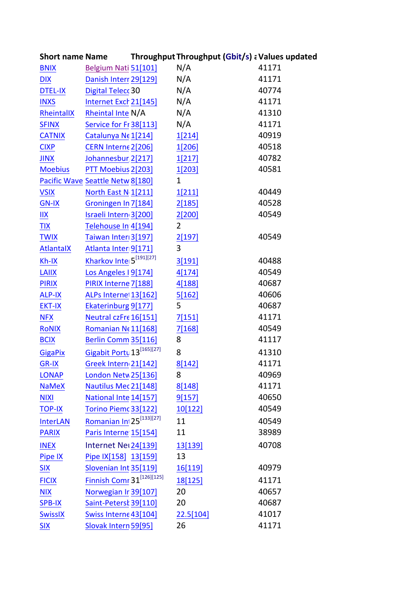| <b>Short name Name</b> |                                       | Throughput Throughput (Gbit/s) a Values updated |       |
|------------------------|---------------------------------------|-------------------------------------------------|-------|
| <b>BNIX</b>            | Belgium Nati 51[101]                  | N/A                                             | 41171 |
| <b>DIX</b>             | Danish Interr 29[129]                 | N/A                                             | 41171 |
| <b>DTEL-IX</b>         | Digital Telecc 30                     | N/A                                             | 40774 |
| <b>INXS</b>            | Internet Exch 21[145]                 | N/A                                             | 41171 |
| RheintallX             | Rheintal Inte N/A                     | N/A                                             | 41310 |
| <b>SFINX</b>           | Service for Fr 38[113]                | N/A                                             | 41171 |
| <b>CATNIX</b>          | Catalunya Ne 1[214]                   | 1[214]                                          | 40919 |
| <b>CIXP</b>            | CERN Interne 2[206]                   | 1[206]                                          | 40518 |
| <b>JINX</b>            | Johannesbur 2[217]                    | 1[217]                                          | 40782 |
| <b>Moebius</b>         | PTT Moebius 2[203]                    | 1[203]                                          | 40581 |
|                        | Pacific Wave Seattle Netw 8[180]      | $\mathbf{1}$                                    |       |
| <b>VSIX</b>            | North East N 1[211]                   | 1[211]                                          | 40449 |
| <b>GN-IX</b>           | Groningen In 7[184]                   | 2[185]                                          | 40528 |
| IIX                    | Israeli Intern <sub>3</sub> [200]     | 2[200]                                          | 40549 |
| <b>TIX</b>             | Telehouse In 4[194]                   | $\overline{2}$                                  |       |
| <b>TWIX</b>            | Taiwan Inter 3[197]                   | 2[197]                                          | 40549 |
| <b>AtlantaIX</b>       | Atlanta Inter 9[171]                  | 3                                               |       |
| Kh-IX                  | Kharkov Inte 5 <sup>[191][27]</sup>   | 3[191]                                          | 40488 |
| <b>LAIIX</b>           | Los Angeles I 9[174]                  | 4[174]                                          | 40549 |
| <b>PIRIX</b>           | PIRIX Interne 7[188]                  | 4[188]                                          | 40687 |
| <b>ALP-IX</b>          | ALPs Interne 13[162]                  | 5[162]                                          | 40606 |
| <b>EKT-IX</b>          | Ekaterinburg 9[177]                   | 5                                               | 40687 |
| <b>NFX</b>             | Neutral czFre 16[151]                 | 7[151]                                          | 41171 |
| <b>RONIX</b>           | Romanian Ne11[168]                    | 7[168]                                          | 40549 |
| <b>BCIX</b>            | Berlin Comm 35[116]                   | 8                                               | 41117 |
| <b>GigaPix</b>         | Gigabit Portu 13[165][27]             | 8                                               | 41310 |
| <b>GR-IX</b>           | Greek Intern 21[142]                  | <u>8[142]</u>                                   | 41171 |
| <b>LONAP</b>           | London Netw 25[136]                   | 8                                               | 40969 |
| <b>NaMeX</b>           | Nautilus Mec 21[148]                  | 8[148]                                          | 41171 |
| <b>NIXI</b>            | National Inte 14[157]                 | 9[157]                                          | 40650 |
| <b>TOP-IX</b>          | Torino Piemc 33[122]                  | 10[122]                                         | 40549 |
| <b>InterLAN</b>        | Romanian Int 25 <sup>[133][27]</sup>  | 11                                              | 40549 |
| <b>PARIX</b>           | Paris Interne 15[154]                 | 11                                              | 38989 |
| <b>INEX</b>            | Internet Net 24[139]                  | 13[139]                                         | 40708 |
| Pipe IX                | Pipe IX[158] 13[159]                  | 13                                              |       |
| <b>SIX</b>             | Slovenian Int 35[119]                 | <u>16[119]</u>                                  | 40979 |
| <b>FICIX</b>           | Finnish Comr 31 <sup>[126][125]</sup> | 18[125]                                         | 41171 |
| <b>NIX</b>             | Norwegian Ir 39[107]                  | 20                                              | 40657 |
| <b>SPB-IX</b>          | Saint-Petersk 39[110]                 | 20                                              | 40687 |
| <b>SwissIX</b>         | Swiss Interne 43[104]                 | 22.5[104]                                       | 41017 |
| <b>SIX</b>             | Slovak Intern 59[95]                  | 26                                              | 41171 |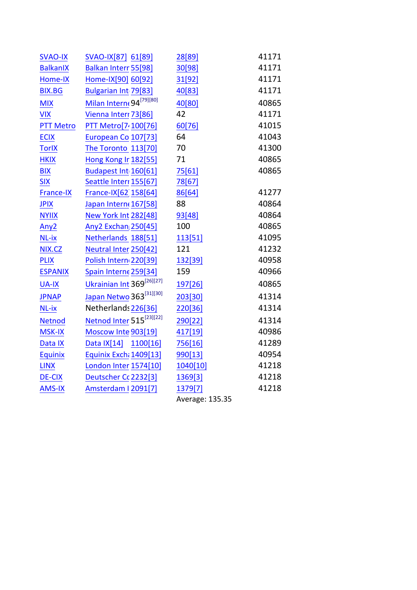| <b>SVAO-IX</b>     | SVAO-IX[87] 61[89]                    | 28[89]          | 41171 |
|--------------------|---------------------------------------|-----------------|-------|
| <b>BalkanIX</b>    | Balkan Interr 55[98]                  | 30[98]          | 41171 |
| Home-IX            | Home-IX[90] 60[92]                    | 31[92]          | 41171 |
| <b>BIX.BG</b>      | Bulgarian Int 79[83]                  | 40[83]          | 41171 |
| <b>MIX</b>         | Milan Interne 94 <sup>[79][80]</sup>  | 40[80]          | 40865 |
| <b>VIX</b>         | Vienna Interr 73[86]                  | 42              | 41171 |
| <b>PTT Metro</b>   | PTT Metro[7 <sub>100[76]</sub>        | 60[76]          | 41015 |
| <b>ECIX</b>        | European Co 107[73]                   | 64              | 41043 |
| <b>TorlX</b>       | The Toronto 113[70]                   | 70              | 41300 |
| <b>HKIX</b>        | Hong Kong Ir 182[55]                  | 71              | 40865 |
| <b>BIX</b>         | Budapest Int 160[61]                  | 75[61]          | 40865 |
| <b>SIX</b>         | Seattle Interr 155[67]                | 78[67]          |       |
| France-IX          | France-IX[62 158[64]                  | 86[64]          | 41277 |
| <b>JPIX</b>        | Japan Intern(167[58]                  | 88              | 40864 |
| <b>NYIIX</b>       | New York Int 282[48]                  | 93[48]          | 40864 |
| Any <sub>2</sub>   | Any2 Exchan 250[45]                   | 100             | 40865 |
| NL-ix              | Netherlands 188[51]                   | 113[51]         | 41095 |
| NIX.CZ             | Neutral Inter 250[42]                 | 121             | 41232 |
| <b>PLIX</b>        | Polish Intern 220[39]                 | 132[39]         | 40958 |
| <b>ESPANIX</b>     | Spain Interne 259[34]                 | 159             | 40966 |
| <b>UA-IX</b>       | Ukrainian Int 369 <sup>[26][27]</sup> | 197[26]         | 40865 |
| <b>JPNAP</b>       | Japan Netwo 363 <sup>[31][30]</sup>   | 203[30]         | 41314 |
| NL-ix              | Netherlands 226[36]                   | 220[36]         | 41314 |
| <b>Netnod</b>      | Netnod Inter 515 <sup>[23][22]</sup>  | 290[22]         | 41314 |
| <b>MSK-IX</b>      | Moscow Inte 903[19]                   | 417[19]         | 40986 |
| Data <sub>IX</sub> | Data IX[14]<br>1100[16]               | 756[16]         | 41289 |
| Equinix            | Equinix Exchi 1409[13]                | 990[13]         | 40954 |
| <b>LINX</b>        | London Inter 1574[10]                 | 1040[10]        | 41218 |
| <b>DE-CIX</b>      | Deutscher Cc 2232[3]                  | 1369[3]         | 41218 |
| <b>AMS-IX</b>      | Amsterdam I 2091[7]                   | 1379[7]         | 41218 |
|                    |                                       | Average: 135.35 |       |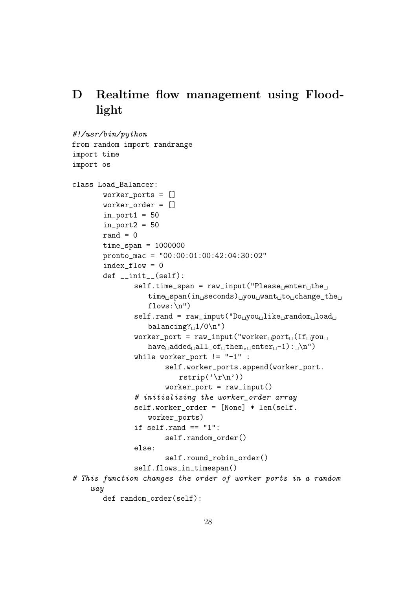## <span id="page-29-0"></span>D Realtime flow management using Floodlight

```
#!/usr/bin/python
from random import randrange
import time
import os
class Load_Balancer:
         worker_ports = []
         worker_order = []
         in\_port1 = 50in\_port2 = 50rand = 0time_span = 1000000pronto_mac = "00:00:01:00:42:04:30:02"
         index_flow = 0def __init__(self):
                  self.time_span = raw\_input("Please \_\right\leftarrow the \_\righttime_{\text{u}}span(in_{\text{u}}seconds)_{\text{u}}you_{\text{u}}want_{\text{u}}to_{\text{u}}change_{\text{u}}the_{\text{u}}flows:\n\langle n" \rangleself.random = raw\_input("Do<sub>U</sub>you<sub>U</sub>like<sub>U</sub>random<sub>U</sub>load<sub>U</sub>balancing?_11/0\n")
                  worker_port = raw_input("worker
port
_U(If \cup youhave_{\text{p}}added_{\text{p}}all_{\text{p}}of_{\text{p}}then, \text{p}enter_{\text{p}}-1): \text{p}n")while worker_port != "-1" :
                            self.worker_ports.append(worker_port.
                                rstrip('r\nu'))worker\_port = raw\_input()# initializing the worker_order array
                  self.worker_order = [None] * len(self.
                      worker_ports)
                  if self.random == "1":self.random_order()
                  else:
                            self.round_robin_order()
                  self.flows_in_timespan()
# This function changes the order of worker ports in a random
     way
         def random_order(self):
```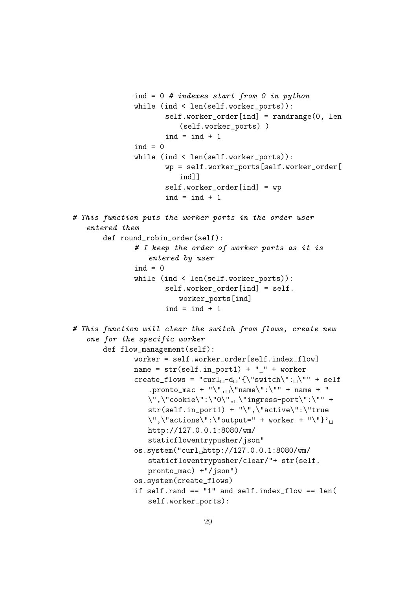```
ind = 0 # indexes start from 0 in python
               while (ind < len(self.worker_ports)):
                       self.worker_order[ind] = randrange(0, len
                           (self.worker_ports) )
                       ind = ind + 1ind = 0while (ind < len(self.worker_ports)):
                       wp = self.worker_ports[self.worker_order[
                           ind]]
                       self.worker_order[ind] = wp
                       ind = ind + 1# This function puts the worker ports in the order user
   entered them
       def round_robin_order(self):
               # I keep the order of worker ports as it is
                   entered by user
               ind = 0while (ind < len(self.worker_ports)):
                       self.worker_order[ind] = self.
                          worker_ports[ind]
                       ind = ind + 1# This function will clear the switch from flows, create new
   one for the specific worker
       def flow_management(self):
               worker = self.worker_order[self.index_flow]
               name = str(self.in-port1) + "-" + workercreate_flows = "curl<sub>1</sub>-d<sub>1</sub>'{\"switch\":<sub>1</sub>\"" + self
                   .pronto_mac + "\", \"name\":\"" + name + "
                  \",\"cookie\":\"0\",\\"ingress-port\":\"" +
                  str(self.in_port1) + "\",\"active\":\"true
                  \langle", \langle"actions\langle":\langle"output=" + worker + "\langle"}'<sub>\langle1</sub>
                  http://127.0.0.1:8080/wm/
                  staticflowentrypusher/json"
               os.system("curl<sub>u</sub>http://127.0.0.1:8080/wm/staticflowentrypusher/clear/"+ str(self.
                  pronto_mac) +"/json")
               os.system(create_flows)
               if self.rand == "1" and self.index_flow == len(
                   self.worker_ports):
```